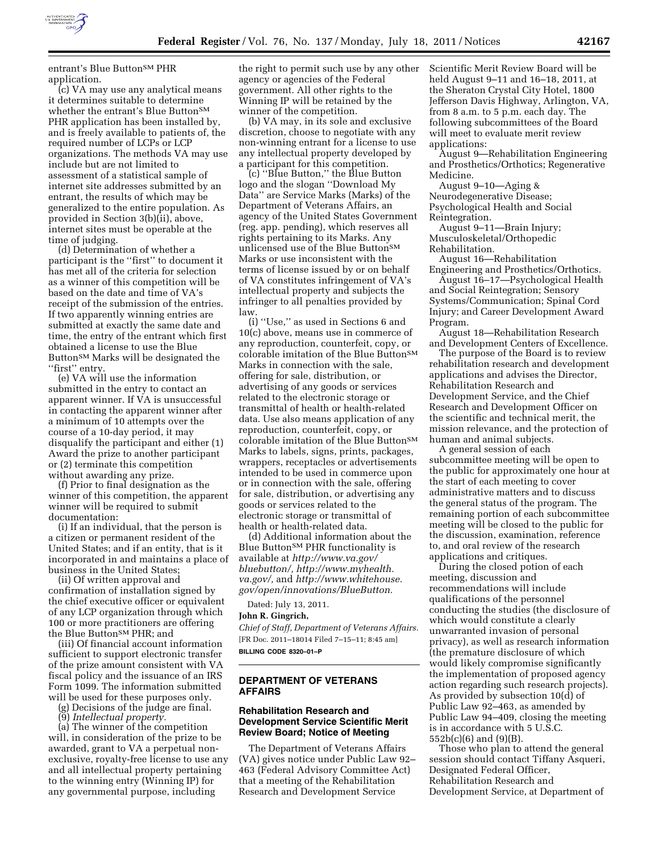

entrant's Blue Button<sup>SM</sup> PHR application.

(c) VA may use any analytical means it determines suitable to determine whether the entrant's Blue ButtonSM PHR application has been installed by, and is freely available to patients of, the required number of LCPs or LCP organizations. The methods VA may use include but are not limited to assessment of a statistical sample of internet site addresses submitted by an entrant, the results of which may be generalized to the entire population. As provided in Section 3(b)(ii), above, internet sites must be operable at the time of judging.

(d) Determination of whether a participant is the ''first'' to document it has met all of the criteria for selection as a winner of this competition will be based on the date and time of VA's receipt of the submission of the entries. If two apparently winning entries are submitted at exactly the same date and time, the entry of the entrant which first obtained a license to use the Blue Button<sup>SM</sup> Marks will be designated the "first" entry.

(e) VA will use the information submitted in the entry to contact an apparent winner. If VA is unsuccessful in contacting the apparent winner after a minimum of 10 attempts over the course of a 10-day period, it may disqualify the participant and either (1) Award the prize to another participant or (2) terminate this competition without awarding any prize.

(f) Prior to final designation as the winner of this competition, the apparent winner will be required to submit documentation:

(i) If an individual, that the person is a citizen or permanent resident of the United States; and if an entity, that is it incorporated in and maintains a place of business in the United States;

(ii) Of written approval and confirmation of installation signed by the chief executive officer or equivalent of any LCP organization through which 100 or more practitioners are offering the Blue Button<sup>SM</sup> PHR; and

(iii) Of financial account information sufficient to support electronic transfer of the prize amount consistent with VA fiscal policy and the issuance of an IRS Form 1099. The information submitted will be used for these purposes only.

(g) Decisions of the judge are final.

(9) *Intellectual property.* 

(a) The winner of the competition will, in consideration of the prize to be awarded, grant to VA a perpetual nonexclusive, royalty-free license to use any and all intellectual property pertaining to the winning entry (Winning IP) for any governmental purpose, including

the right to permit such use by any other agency or agencies of the Federal government. All other rights to the Winning IP will be retained by the winner of the competition.

(b) VA may, in its sole and exclusive discretion, choose to negotiate with any non-winning entrant for a license to use any intellectual property developed by a participant for this competition.

(c) ''Blue Button,'' the Blue Button logo and the slogan ''Download My Data'' are Service Marks (Marks) of the Department of Veterans Affairs, an agency of the United States Government (reg. app. pending), which reserves all rights pertaining to its Marks. Any unlicensed use of the Blue Button<sup>SM</sup> Marks or use inconsistent with the terms of license issued by or on behalf of VA constitutes infringement of VA's intellectual property and subjects the infringer to all penalties provided by law.

(i) ''Use,'' as used in Sections 6 and 10(c) above, means use in commerce of any reproduction, counterfeit, copy, or colorable imitation of the Blue Button<sup>SM</sup> Marks in connection with the sale, offering for sale, distribution, or advertising of any goods or services related to the electronic storage or transmittal of health or health-related data. Use also means application of any reproduction, counterfeit, copy, or colorable imitation of the Blue Button<sup>SM</sup> Marks to labels, signs, prints, packages, wrappers, receptacles or advertisements intended to be used in commerce upon or in connection with the sale, offering for sale, distribution, or advertising any goods or services related to the electronic storage or transmittal of health or health-related data.

(d) Additional information about the Blue Button<sup>SM</sup> PHR functionality is available at *[http://www.va.gov/](http://www.va.gov/bluebutton/) [bluebutton/,](http://www.va.gov/bluebutton/) [http://www.myhealth.](http://www.myhealth.va.gov/) [va.gov/,](http://www.myhealth.va.gov/)* and *[http://www.whitehouse.](http://www.whitehouse.gov/open/innovations/BlueButton) [gov/open/innovations/BlueButton.](http://www.whitehouse.gov/open/innovations/BlueButton)* 

Dated: July 13, 2011. **John R. Gingrich,** 

*Chief of Staff, Department of Veterans Affairs.*  [FR Doc. 2011–18014 Filed 7–15–11; 8:45 am]

**BILLING CODE 8320–01–P** 

# **DEPARTMENT OF VETERANS AFFAIRS**

### **Rehabilitation Research and Development Service Scientific Merit Review Board; Notice of Meeting**

The Department of Veterans Affairs (VA) gives notice under Public Law 92– 463 (Federal Advisory Committee Act) that a meeting of the Rehabilitation Research and Development Service

Scientific Merit Review Board will be held August 9–11 and 16–18, 2011, at the Sheraton Crystal City Hotel, 1800 Jefferson Davis Highway, Arlington, VA, from 8 a.m. to 5 p.m. each day. The following subcommittees of the Board will meet to evaluate merit review applications:

August 9—Rehabilitation Engineering and Prosthetics/Orthotics; Regenerative Medicine.

August 9–10—Aging & Neurodegenerative Disease; Psychological Health and Social Reintegration.

August 9-11-Brain Injury; Musculoskeletal/Orthopedic Rehabilitation.

August 16—Rehabilitation

Engineering and Prosthetics/Orthotics. August 16–17—Psychological Health and Social Reintegration; Sensory Systems/Communication; Spinal Cord Injury; and Career Development Award Program.

August 18—Rehabilitation Research and Development Centers of Excellence.

The purpose of the Board is to review rehabilitation research and development applications and advises the Director, Rehabilitation Research and Development Service, and the Chief Research and Development Officer on the scientific and technical merit, the mission relevance, and the protection of human and animal subjects.

A general session of each subcommittee meeting will be open to the public for approximately one hour at the start of each meeting to cover administrative matters and to discuss the general status of the program. The remaining portion of each subcommittee meeting will be closed to the public for the discussion, examination, reference to, and oral review of the research applications and critiques.

During the closed potion of each meeting, discussion and recommendations will include qualifications of the personnel conducting the studies (the disclosure of which would constitute a clearly unwarranted invasion of personal privacy), as well as research information (the premature disclosure of which would likely compromise significantly the implementation of proposed agency action regarding such research projects). As provided by subsection 10(d) of Public Law 92–463, as amended by Public Law 94–409, closing the meeting is in accordance with 5 U.S.C. 552b(c)(6) and (9)(B).

Those who plan to attend the general session should contact Tiffany Asqueri, Designated Federal Officer, Rehabilitation Research and Development Service, at Department of